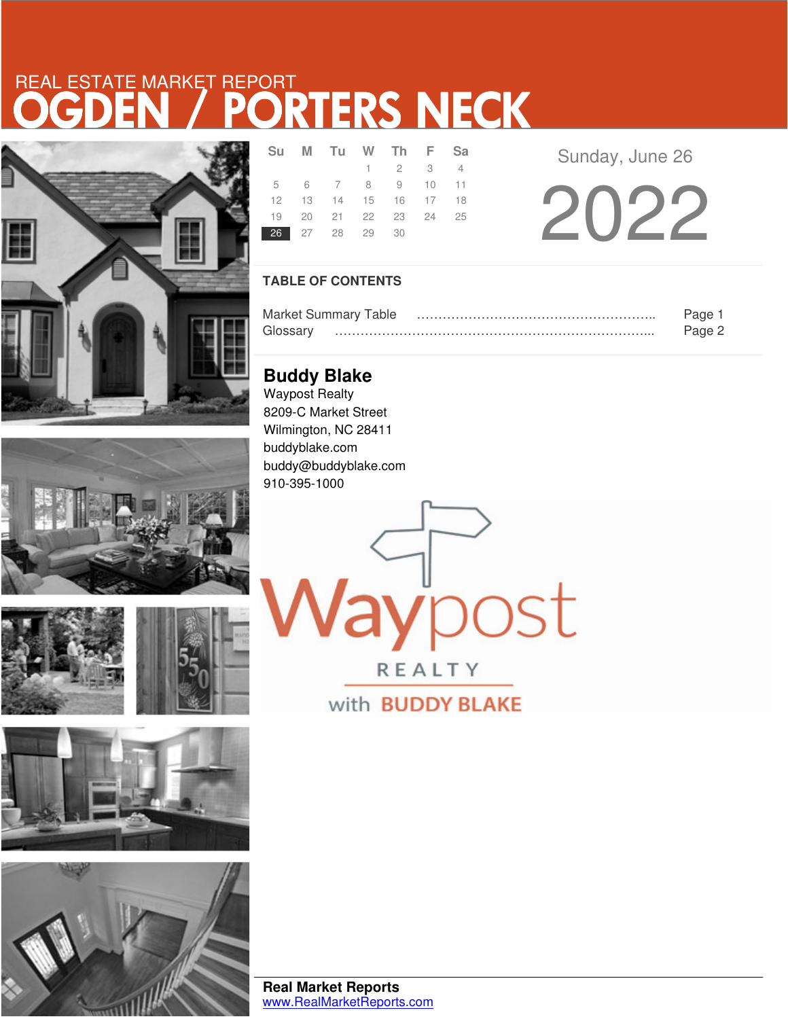# REAL ESTATE MARKET REPORT<br>OGDEN / PORTERS NECK









| Su             | M Tu W Th F Sa             |                 |  |  |
|----------------|----------------------------|-----------------|--|--|
|                |                            | $1 \t2 \t3 \t4$ |  |  |
|                | 5 6 7 8 9 10 11            |                 |  |  |
|                | 12  13  14  15  16  17  18 |                 |  |  |
|                | 19 20 21 22 23 24 25       |                 |  |  |
| 26 27 28 29 30 |                            |                 |  |  |

Sunday, June 26

2022

### **TABLE OF CONTENTS**

|          | <b>Market Summary Table</b> | Page   |
|----------|-----------------------------|--------|
| Glossarv |                             | Page 2 |

**laypost** 

REALTY

with **BUDDY BLAKE** 

**Buddy Blake** Waypost Realty 8209-C Market Street Wilmington, NC 28411 buddyblake.com buddy@buddyblake.com 910-395-1000

**Real Market Reports** www.RealMarketReports.com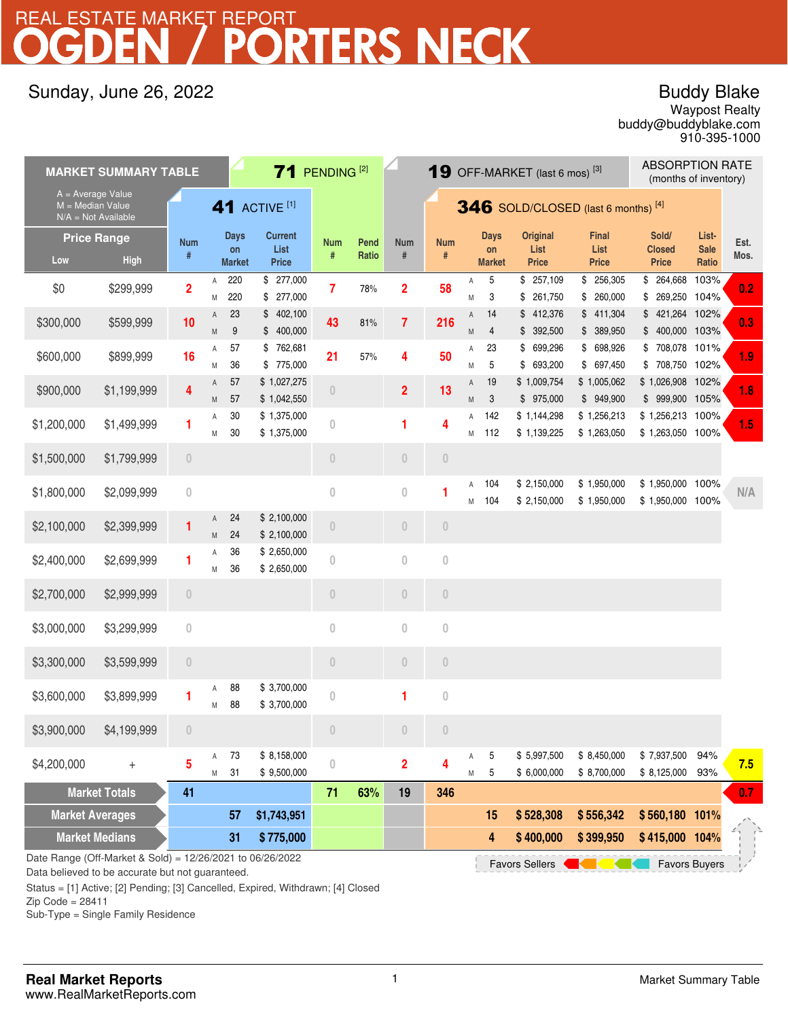## REAL ESTATE MARKET REPORT

## Sunday, June 26, 2022

## Buddy Blake

buddy@buddyblake.com Waypost Realty 910-395-1000

|                                           | <b>MARKET SUMMARY TABLE</b>                               |                                 |                |                   | $71$ PENDING <sup>[2]</sup> |                                      |       |                                      | <b>ABSORPTION RATE</b><br><b>19</b> OFF-MARKET (last 6 mos) <sup>[3]</sup><br>(months of inventory) |        |                   |                            |                            |                                    |                      |      |
|-------------------------------------------|-----------------------------------------------------------|---------------------------------|----------------|-------------------|-----------------------------|--------------------------------------|-------|--------------------------------------|-----------------------------------------------------------------------------------------------------|--------|-------------------|----------------------------|----------------------------|------------------------------------|----------------------|------|
| $A = Average Value$<br>$M = Median Value$ | $N/A = Not$ Available                                     |                                 |                |                   | <b>41 ACTIVE [1]</b>        |                                      |       |                                      | 346 SOLD/CLOSED (last 6 months) [4]                                                                 |        |                   |                            |                            |                                    |                      |      |
|                                           | <b>Price Range</b>                                        | <b>Num</b>                      |                | <b>Days</b><br>on | <b>Current</b><br>List      | <b>Num</b>                           | Pend  | <b>Num</b>                           | <b>Num</b>                                                                                          |        | <b>Days</b><br>on | <b>Original</b><br>List    | <b>Final</b><br>List       | Sold/<br><b>Closed</b>             | List-<br><b>Sale</b> | Est. |
| Low                                       | <b>High</b>                                               | #                               |                | <b>Market</b>     | <b>Price</b>                | #                                    | Ratio | $\#$                                 | #                                                                                                   |        | <b>Market</b>     | <b>Price</b>               | <b>Price</b>               | <b>Price</b>                       | Ratio                | Mos. |
| \$0                                       | \$299,999                                                 | $\overline{2}$                  | Α<br>Μ         | 220<br>220        | \$277,000<br>\$277,000      | $\overline{7}$                       | 78%   | $\overline{2}$                       | 58                                                                                                  | Α<br>M | 5<br>3            | \$257,109<br>\$261,750     | \$256,305<br>\$260,000     | \$ 264,668<br>\$ 269,250 104%      | 103%                 | 0.2  |
| \$300,000                                 | \$599,999                                                 | 10                              | Α<br>M         | 23<br>9           | \$402,100<br>\$400,000      | 43                                   | 81%   | $\overline{7}$                       | 216                                                                                                 | Α<br>M | 14<br>4           | \$412,376<br>\$392,500     | \$411,304<br>\$ 389,950    | \$421,264 102%<br>\$400,000 103%   |                      | 0.3  |
| \$600,000                                 | \$899,999                                                 | 16                              | Α<br>M         | 57<br>36          | \$762,681<br>\$775,000      | 21                                   | 57%   | 4                                    | 50                                                                                                  | Α<br>М | 23<br>5           | \$ 699,296<br>\$ 693,200   | \$ 698,926<br>\$697,450    | \$708,078 101%<br>\$708,750 102%   |                      | 1.9  |
| \$900,000                                 | \$1,199,999                                               | 4                               | Α<br>M         | 57<br>57          | \$1,027,275<br>\$1,042,550  | $\theta$                             |       | $\overline{2}$                       | 13                                                                                                  | Α<br>M | 19<br>3           | \$1,009,754<br>\$975,000   | \$1,005,062<br>\$949,900   | \$1,026,908 102%<br>\$999,900 105% |                      | 1.8  |
| \$1,200,000                               | \$1,499,999                                               | 1                               | Α              | 30                | \$1,375,000                 | $\theta$                             |       | 1                                    | 4                                                                                                   | Α      | 142               | \$1,144,298                | \$1,256,213                | \$1,256,213 100%                   |                      | 1.5  |
|                                           |                                                           |                                 | M              | 30                | \$1,375,000                 |                                      |       |                                      |                                                                                                     | M      | 112               | \$1,139,225                | \$1,263,050                | \$1,263,050 100%                   |                      |      |
| \$1,500,000                               | \$1,799,999                                               | $\bf 0$                         |                |                   |                             | $\begin{matrix} 0 \\ 0 \end{matrix}$ |       | $\begin{matrix} 0 \end{matrix}$      | $\begin{matrix} 0 \end{matrix}$                                                                     |        |                   |                            |                            |                                    |                      |      |
| \$1,800,000                               | \$2,099,999                                               | $\bf 0$                         |                |                   |                             | $\theta$                             |       | $\boldsymbol{0}$                     | 1                                                                                                   | Α      | 104               | \$2,150,000                | \$1,950,000                | \$1,950,000                        | 100%                 | N/A  |
|                                           |                                                           |                                 |                | 24                | \$2,100,000                 |                                      |       |                                      |                                                                                                     | M      | 104               | \$2,150,000                | \$1,950,000                | \$1,950,000 100%                   |                      |      |
| \$2,100,000                               | \$2,399,999                                               | 1                               | A<br>${\sf M}$ | 24                | \$2,100,000                 | $\theta$                             |       | $\begin{matrix} 0 \\ 0 \end{matrix}$ | $\bf 0$                                                                                             |        |                   |                            |                            |                                    |                      |      |
| \$2,400,000                               | \$2,699,999                                               | 1                               | Α              | 36                | \$2,650,000                 | $\theta$                             |       | $\bf{0}$                             | $\mathbf{0}$                                                                                        |        |                   |                            |                            |                                    |                      |      |
|                                           |                                                           |                                 | M              | 36                | \$2,650,000                 |                                      |       |                                      |                                                                                                     |        |                   |                            |                            |                                    |                      |      |
| \$2,700,000                               | \$2,999,999                                               | $\overline{0}$                  |                |                   |                             | $\theta$                             |       | $\theta$                             | $\theta$                                                                                            |        |                   |                            |                            |                                    |                      |      |
| \$3,000,000                               | \$3,299,999                                               | $\overline{0}$                  |                |                   |                             | $\overline{0}$                       |       | $\bf 0$                              | $\overline{0}$                                                                                      |        |                   |                            |                            |                                    |                      |      |
| \$3,300,000                               | \$3,599,999                                               | $\begin{matrix} 0 \end{matrix}$ |                |                   |                             | $\theta$                             |       | $\begin{matrix} 0 \\ 0 \end{matrix}$ | $\theta$                                                                                            |        |                   |                            |                            |                                    |                      |      |
| \$3,600,000                               | \$3,899,999                                               | 1                               | Α<br>M         | 88<br>88          | \$3,700,000<br>\$3,700,000  | $\theta$                             |       | 1                                    | $\mathbf 0$                                                                                         |        |                   |                            |                            |                                    |                      |      |
| \$3,900,000                               | \$4,199,999                                               | $\theta$                        |                |                   |                             | $\theta$                             |       | $\theta$                             | $\theta$                                                                                            |        |                   |                            |                            |                                    |                      |      |
| \$4,200,000                               | $\ddot{}$                                                 | 5                               | Α<br>Μ         | 73<br>31          | \$8,158,000<br>\$9,500,000  | $\bf{0}$                             |       | $\overline{\mathbf{2}}$              | 4                                                                                                   | Α<br>М | 5<br>5            | \$5,997,500<br>\$6,000,000 | \$8,450,000<br>\$8,700,000 | \$7,937,500<br>\$8,125,000         | 94%<br>93%           | 7.5  |
|                                           | <b>Market Totals</b>                                      | 41                              |                |                   |                             | 71                                   | 63%   | 19                                   | 346                                                                                                 |        |                   |                            |                            |                                    |                      | 0.7  |
| <b>Market Averages</b>                    |                                                           |                                 |                | 57                | \$1,743,951                 |                                      |       |                                      |                                                                                                     |        | 15                | \$528,308                  | \$556,342                  | \$560,180 101%                     |                      |      |
| <b>Market Medians</b>                     |                                                           |                                 |                | 31                | \$775,000                   |                                      |       |                                      |                                                                                                     |        | 4                 | \$400,000                  | \$399,950                  | \$415,000 104%                     |                      |      |
|                                           | Date Range (Off-Market & Sold) = 12/26/2021 to 06/26/2022 |                                 |                |                   |                             |                                      |       |                                      |                                                                                                     |        |                   | <b>Favors Sellers</b>      |                            |                                    | <b>Favors Buyers</b> |      |

Data believed to be accurate but not guaranteed.

Status = [1] Active; [2] Pending; [3] Cancelled, Expired, Withdrawn; [4] Closed

 $Zip Code = 28411$ 

Sub-Type = Single Family Residence